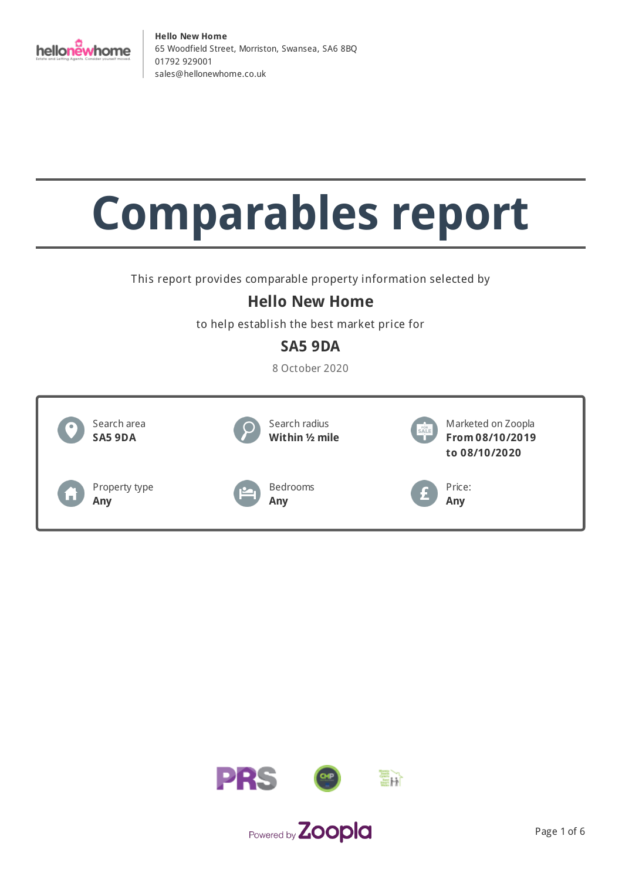

# **Comparables report**

This report provides comparable property information selected by

## **Hello New Home**

to help establish the best market price for

## **SA5 9DA**

8 October 2020



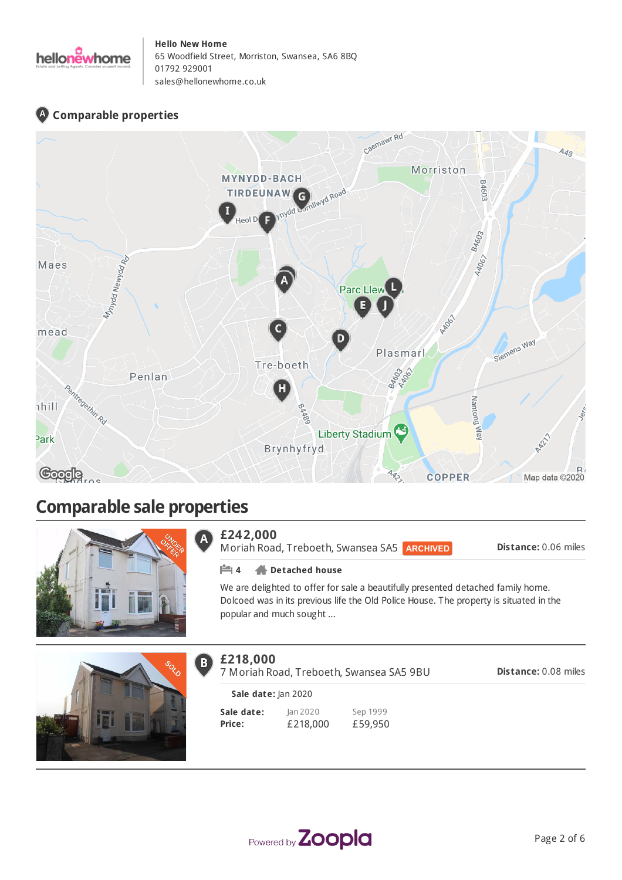

## **Comparable properties**



# **Comparable sale properties**



#### **£242,000**  $\mathbf{A}$

**£218,000**

 $B)$ 

Moriah Road, Treboeth, Swansea SA5

**Distance:** 0.06 miles

#### **4 Detached house**

We are delighted to offer for sale a beautifully presented detached family home. Dolcoed was in its previous life the Old Police House. The property is situated in the popular and much sought ...



#### **Sale date: Price:** Jan 2020 Sep 1999 7 Moriah Road, Treboeth, Swansea SA5 9BU **Sale date:** Jan 2020



**Distance:** 0.08 miles

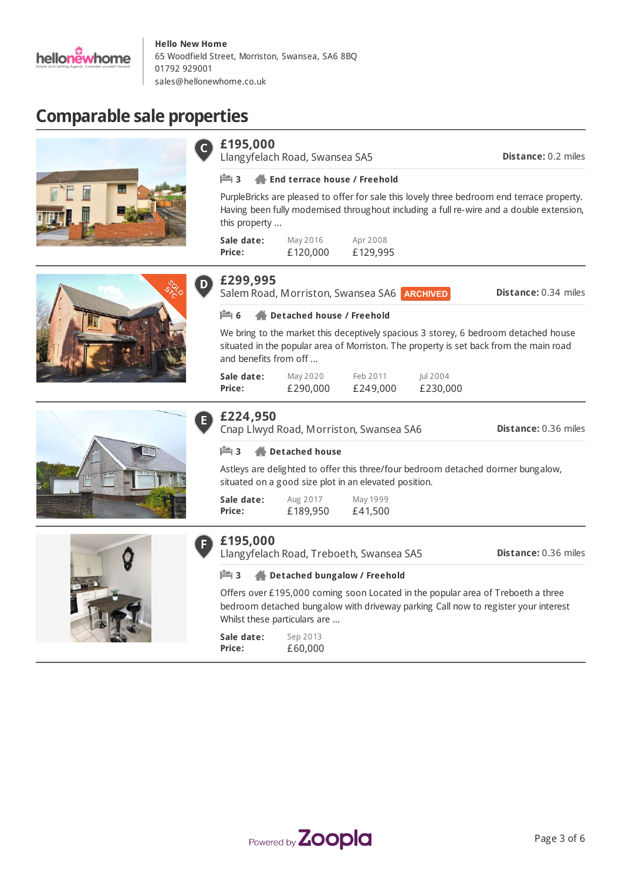

**Hello New Home** 65 Woodfield Street, Morriston, Swansea, SA6 8BQ 01792 929001 [sales@hellonewhome.co.uk](mailto:sales@hellonewhome.co.uk)

# **Comparable sale properties**

| £195,000                    | Llangyfelach Road, Swansea SA5                                                                                                            |                      |                      | <b>Distance: 0.2 miles</b>                                                                                                                                                             |
|-----------------------------|-------------------------------------------------------------------------------------------------------------------------------------------|----------------------|----------------------|----------------------------------------------------------------------------------------------------------------------------------------------------------------------------------------|
| $\mathbb{H}$ 3              | <b>End terrace house / Freehold</b>                                                                                                       |                      |                      |                                                                                                                                                                                        |
| this property               |                                                                                                                                           |                      |                      | PurpleBricks are pleased to offer for sale this lovely three bedroom end terrace property.<br>Having been fully modernised throughout including a full re-wire and a double extension, |
| Sale date:<br>Price:        | May 2016<br>£120,000                                                                                                                      | Apr 2008<br>£129,995 |                      |                                                                                                                                                                                        |
| £299,995                    | Salem Road, Morriston, Swansea SA6 ARCHIVED                                                                                               |                      |                      | Distance: 0.34 miles                                                                                                                                                                   |
| $\mathbb{H}$ 6              | Detached house / Freehold                                                                                                                 |                      |                      |                                                                                                                                                                                        |
| and benefits from off       |                                                                                                                                           |                      |                      | We bring to the market this deceptively spacious 3 storey, 6 bedroom detached house<br>situated in the popular area of Morriston. The property is set back from the main road          |
| Sale date:<br>Price:        | May 2020<br>£290,000                                                                                                                      | Feb 2011<br>£249,000 | Jul 2004<br>£230,000 |                                                                                                                                                                                        |
| £224,950                    | Cnap Llwyd Road, Morriston, Swansea SA6                                                                                                   |                      |                      | <b>Distance: 0.36 miles</b>                                                                                                                                                            |
| <b>P</b> 3                  | <b>Detached house</b>                                                                                                                     |                      |                      |                                                                                                                                                                                        |
|                             | Astleys are delighted to offer this three/four bedroom detached dormer bungalow,<br>situated on a good size plot in an elevated position. |                      |                      |                                                                                                                                                                                        |
| Sale date:<br>Price:        | Aug 2017<br>£189,950                                                                                                                      | May 1999<br>£41,500  |                      |                                                                                                                                                                                        |
| £195,000                    | Llangyfelach Road, Treboeth, Swansea SA5                                                                                                  |                      |                      | <b>Distance: 0.36 miles</b>                                                                                                                                                            |
| $\mathbb{M}$ 3              | Detached bungalow / Freehold                                                                                                              |                      |                      |                                                                                                                                                                                        |
|                             | Whilst these particulars are                                                                                                              |                      |                      | Offers over £195,000 coming soon Located in the popular area of Treboeth a three<br>bedroom detached bungalow with driveway parking Call now to register your interest                 |
| Sale date:<br><b>Price:</b> | Sep 2013<br>£60,000                                                                                                                       |                      |                      |                                                                                                                                                                                        |

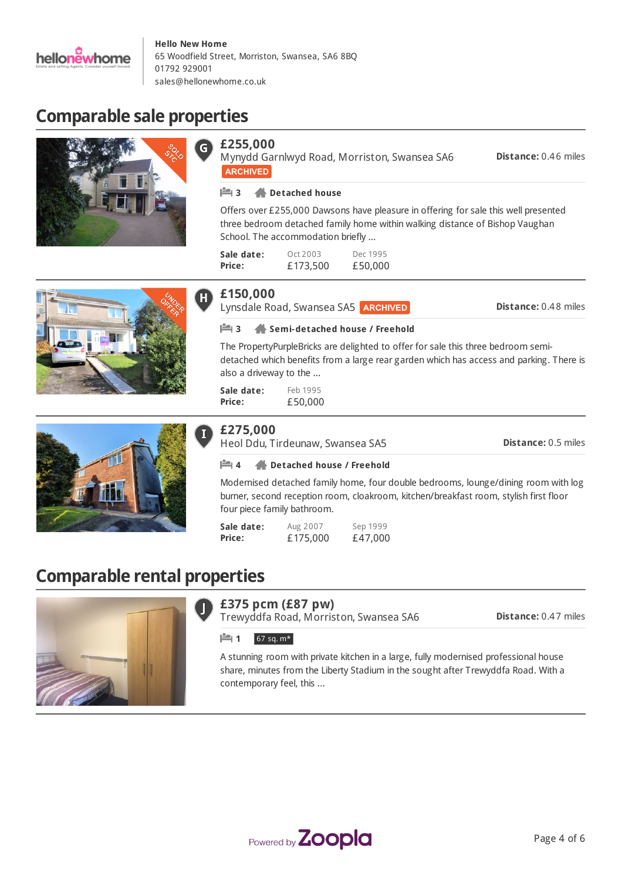

# **Comparable sale properties**





Mynydd Garnlwyd Road, Morriston, Swansea SA6 **ARCHIVED** 

**Distance:** 0.46 miles

#### **3 Detached house**

Offers over £255,000 Dawsons have pleasure in offering for sale this well presented three bedroom detached family home within walking distance of Bishop Vaughan School. The accommodation briefly ...

| Sale date: | Oct 2003 | Dec 1995 |
|------------|----------|----------|
| Price:     | £173,500 | £50,000  |

### **£150,000**

Lynsdale Road, Swansea SA5 **ARCHIVED** 

**Distance:** 0.48 miles





#### **3 Semi-detached house / Freehold**

The PropertyPurpleBricks are delighted to offer for sale this three bedroom semidetached which benefits from a large rear garden which has access and parking. There is also a driveway to the ...

**Sale date: Price:** Feb 1995 £50,000

### **£275,000**

Heol Ddu, Tirdeunaw, Swansea SA5

**Distance:** 0.5 miles

#### **4 Detached house / Freehold**

Modernised detached family home, four double bedrooms, lounge/dining room with log burner, second reception room, cloakroom, kitchen/breakfast room, stylish first floor four piece family bathroom.

| Sale date:    | Aug 2007 | Sep 1999 |
|---------------|----------|----------|
| <b>Price:</b> | £175,000 | £47,000  |

# **Comparable rental properties**



#### **£375 pcm (£87 pw)**

Trewyddfa Road, Morriston, Swansea SA6

**Distance:** 0.47 miles

#### **1**  $67$  sq. m\*

A stunning room with private kitchen in a large, fully modernised professional house share, minutes from the Liberty Stadium in the sought after Trewyddfa Road. With a contemporary feel, this ...

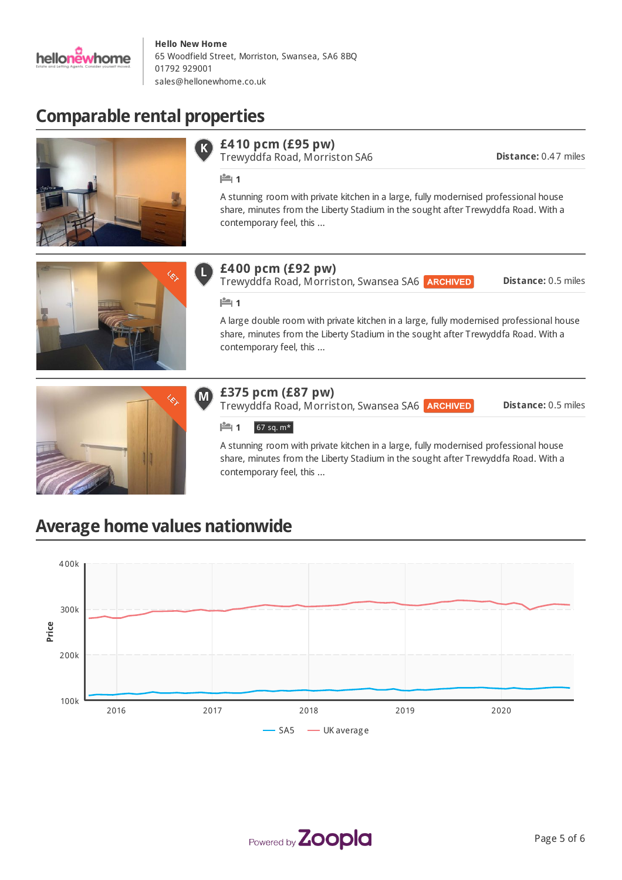

# **Comparable rental properties**



#### **£410 pcm (£95 pw)**

Trewyddfa Road, Morriston SA6

**Distance:** 0.47 miles

**1** 

A stunning room with private kitchen in a large, fully modernised professional house share, minutes from the Liberty Stadium in the sought after Trewyddfa Road. With a contemporary feel, this ...



## **£400 pcm (£92 pw)**

Trewyddfa Road, Morriston, Swansea SA6

**Distance:** 0.5 miles

#### **1**

A large double room with private kitchen in a large, fully modernised professional house share, minutes from the Liberty Stadium in the sought after Trewyddfa Road. With a contemporary feel, this ...



#### **£375 pcm (£87 pw)** M

Trewyddfa Road, Morriston, Swansea SA6

**Distance:** 0.5 miles

#### **1** 67 sq. m\*

A stunning room with private kitchen in a large, fully modernised professional house share, minutes from the Liberty Stadium in the sought after Trewyddfa Road. With a contemporary feel, this ...

# **Average home values nationwide**